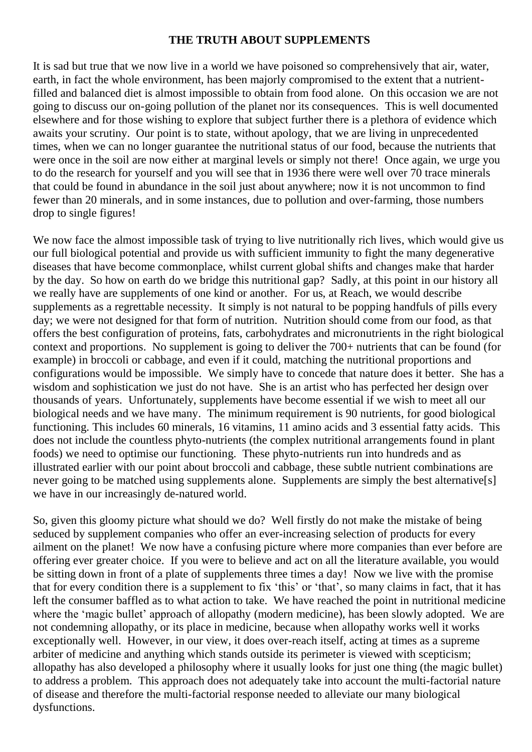## **THE TRUTH ABOUT SUPPLEMENTS**

It is sad but true that we now live in a world we have poisoned so comprehensively that air, water, earth, in fact the whole environment, has been majorly compromised to the extent that a nutrientfilled and balanced diet is almost impossible to obtain from food alone. On this occasion we are not going to discuss our on-going pollution of the planet nor its consequences. This is well documented elsewhere and for those wishing to explore that subject further there is a plethora of evidence which awaits your scrutiny. Our point is to state, without apology, that we are living in unprecedented times, when we can no longer guarantee the nutritional status of our food, because the nutrients that were once in the soil are now either at marginal levels or simply not there! Once again, we urge you to do the research for yourself and you will see that in 1936 there were well over 70 trace minerals that could be found in abundance in the soil just about anywhere; now it is not uncommon to find fewer than 20 minerals, and in some instances, due to pollution and over-farming, those numbers drop to single figures!

We now face the almost impossible task of trying to live nutritionally rich lives, which would give us our full biological potential and provide us with sufficient immunity to fight the many degenerative diseases that have become commonplace, whilst current global shifts and changes make that harder by the day. So how on earth do we bridge this nutritional gap? Sadly, at this point in our history all we really have are supplements of one kind or another. For us, at Reach, we would describe supplements as a regrettable necessity. It simply is not natural to be popping handfuls of pills every day; we were not designed for that form of nutrition. Nutrition should come from our food, as that offers the best configuration of proteins, fats, carbohydrates and micronutrients in the right biological context and proportions. No supplement is going to deliver the 700+ nutrients that can be found (for example) in broccoli or cabbage, and even if it could, matching the nutritional proportions and configurations would be impossible. We simply have to concede that nature does it better. She has a wisdom and sophistication we just do not have. She is an artist who has perfected her design over thousands of years. Unfortunately, supplements have become essential if we wish to meet all our biological needs and we have many. The minimum requirement is 90 nutrients, for good biological functioning. This includes 60 minerals, 16 vitamins, 11 amino acids and 3 essential fatty acids. This does not include the countless phyto-nutrients (the complex nutritional arrangements found in plant foods) we need to optimise our functioning. These phyto-nutrients run into hundreds and as illustrated earlier with our point about broccoli and cabbage, these subtle nutrient combinations are never going to be matched using supplements alone. Supplements are simply the best alternative<sup>[s]</sup> we have in our increasingly de-natured world.

So, given this gloomy picture what should we do? Well firstly do not make the mistake of being seduced by supplement companies who offer an ever-increasing selection of products for every ailment on the planet! We now have a confusing picture where more companies than ever before are offering ever greater choice. If you were to believe and act on all the literature available, you would be sitting down in front of a plate of supplements three times a day! Now we live with the promise that for every condition there is a supplement to fix 'this' or 'that', so many claims in fact, that it has left the consumer baffled as to what action to take. We have reached the point in nutritional medicine where the 'magic bullet' approach of allopathy (modern medicine), has been slowly adopted. We are not condemning allopathy, or its place in medicine, because when allopathy works well it works exceptionally well. However, in our view, it does over-reach itself, acting at times as a supreme arbiter of medicine and anything which stands outside its perimeter is viewed with scepticism; allopathy has also developed a philosophy where it usually looks for just one thing (the magic bullet) to address a problem. This approach does not adequately take into account the multi-factorial nature of disease and therefore the multi-factorial response needed to alleviate our many biological dysfunctions.